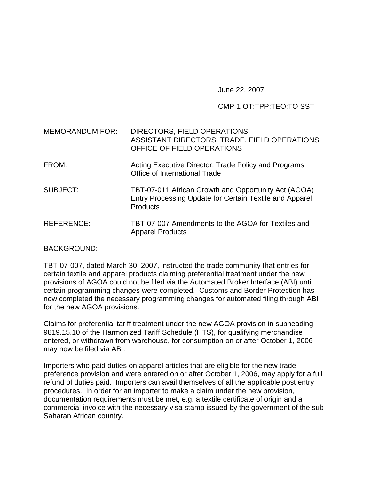June 22, 2007

## CMP-1 OT:TPP:TEO:TO SST

| <b>MEMORANDUM FOR:</b> | DIRECTORS, FIELD OPERATIONS<br>ASSISTANT DIRECTORS, TRADE, FIELD OPERATIONS<br>OFFICE OF FIELD OPERATIONS                          |
|------------------------|------------------------------------------------------------------------------------------------------------------------------------|
| FROM:                  | Acting Executive Director, Trade Policy and Programs<br>Office of International Trade                                              |
| <b>SUBJECT:</b>        | TBT-07-011 African Growth and Opportunity Act (AGOA)<br>Entry Processing Update for Certain Textile and Apparel<br><b>Products</b> |
| <b>REFERENCE:</b>      | TBT-07-007 Amendments to the AGOA for Textiles and<br><b>Apparel Products</b>                                                      |

BACKGROUND:

TBT-07-007, dated March 30, 2007, instructed the trade community that entries for certain textile and apparel products claiming preferential treatment under the new provisions of AGOA could not be filed via the Automated Broker Interface (ABI) until certain programming changes were completed. Customs and Border Protection has now completed the necessary programming changes for automated filing through ABI for the new AGOA provisions.

Claims for preferential tariff treatment under the new AGOA provision in subheading 9819.15.10 of the Harmonized Tariff Schedule (HTS), for qualifying merchandise entered, or withdrawn from warehouse, for consumption on or after October 1, 2006 may now be filed via ABI.

Importers who paid duties on apparel articles that are eligible for the new trade preference provision and were entered on or after October 1, 2006, may apply for a full refund of duties paid. Importers can avail themselves of all the applicable post entry procedures. In order for an importer to make a claim under the new provision, documentation requirements must be met, e.g. a textile certificate of origin and a commercial invoice with the necessary visa stamp issued by the government of the sub-Saharan African country.